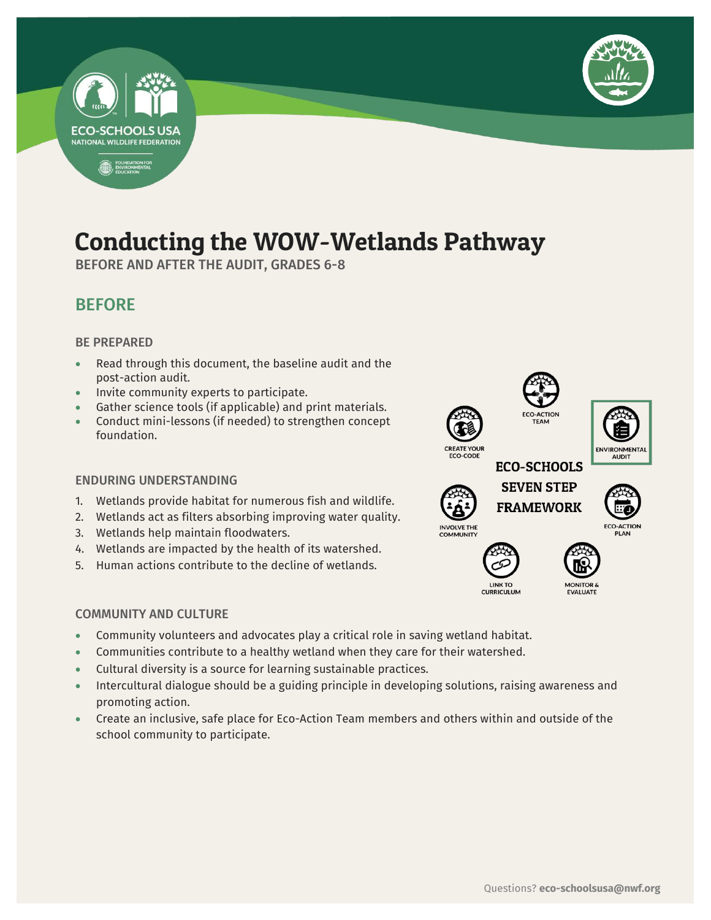

## Conducting the WOW-Wetlands Pathway

BEFORE AND AFTER THE AUDIT, GRADES 6-8

## BEFORE

#### BE PREPARED

- Read through this document, the baseline audit and the post-action audit.
- Invite community experts to participate.
- Gather science tools (if applicable) and print materials.
- Conduct mini-lessons (if needed) to strengthen concept foundation.

#### ENDURING UNDERSTANDING

- 1. Wetlands provide habitat for numerous fish and wildlife.
- 2. Wetlands act as filters absorbing improving water quality.
- 3. Wetlands help maintain floodwaters.
- 4. Wetlands are impacted by the health of its watershed.
- 5. Human actions contribute to the decline of wetlands.

#### COMMUNITY AND CULTURE

- Community volunteers and advocates play a critical role in saving wetland habitat.
- Communities contribute to a healthy wetland when they care for their watershed.
- Cultural diversity is a source for learning sustainable practices.
- Intercultural dialogue should be a guiding principle in developing solutions, raising awareness and promoting action.
- Create an inclusive, safe place for Eco-Action Team members and others within and outside of the school community to participate.







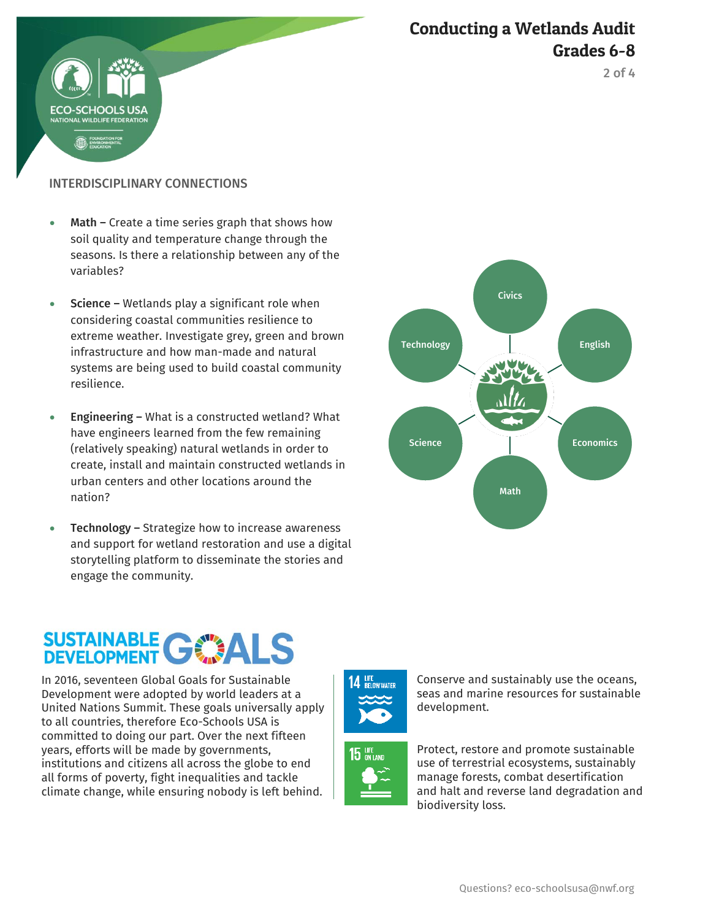

2 of 4

#### INTERDISCIPLINARY CONNECTIONS

HOOLS US

- Math Create a time series graph that shows how soil quality and temperature change through the seasons. Is there a relationship between any of the variables?
- $\bullet$  Science Wetlands play a significant role when considering coastal communities resilience to extreme weather. Investigate grey, green and brown infrastructure and how man-made and natural systems are being used to build coastal community resilience.
- Engineering What is a constructed wetland? What have engineers learned from the few remaining (relatively speaking) natural wetlands in order to create, install and maintain constructed wetlands in urban centers and other locations around the nation?
- Technology Strategize how to increase awareness and support for wetland restoration and use a digital storytelling platform to disseminate the stories and engage the community.



# SUSTAINABLE C

In 2016, seventeen Global Goals for Sustainable Development were adopted by world leaders at a United Nations Summit. These goals universally apply to all countries, therefore Eco-Schools USA is committed to doing our part. Over the next fifteen years, efforts will be made by governments, institutions and citizens all across the globe to end all forms of poverty, fight inequalities and tackle climate change, while ensuring nobody is left behind.







Protect, restore and promote sustainable use of terrestrial ecosystems, sustainably manage forests, combat desertification and halt and reverse land degradation and biodiversity loss.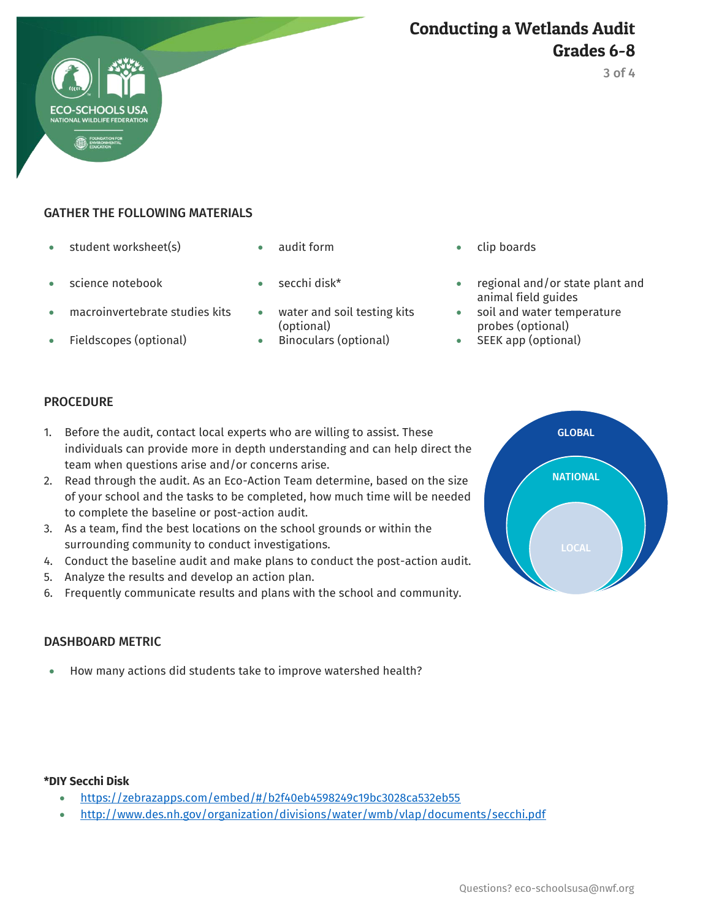

#### GATHER THE FOLLOWING MATERIALS

- student worksheet(s)  $\bullet$  audit form  $\bullet$  clip boards
- 
- macroinvertebrate studies kits water and soil testing kits
- 
- 
- 
- (optional)
- Fieldscopes (optional)  $\bullet$  Binoculars (optional)  $\bullet$  SEEK app (optional)
- 
- science notebook secchi disk\* regional and/or state plant and animal field guides
	- soil and water temperature probes (optional)
	-

Conducting a Wetlands Audit

#### **PROCEDURE**

- 1. Before the audit, contact local experts who are willing to assist. These individuals can provide more in depth understanding and can help direct the team when questions arise and/or concerns arise.
- 2. Read through the audit. As an Eco-Action Team determine, based on the size of your school and the tasks to be completed, how much time will be needed to complete the baseline or post-action audit.
- 3. As a team, find the best locations on the school grounds or within the surrounding community to conduct investigations.
- 4. Conduct the baseline audit and make plans to conduct the post-action audit.
- 5. Analyze the results and develop an action plan.
- 6. Frequently communicate results and plans with the school and community.

#### DASHBOARD METRIC

How many actions did students take to improve watershed health?

#### **\*DIY Secchi Disk**

- <https://zebrazapps.com/embed/#/b2f40eb4598249c19bc3028ca532eb55>
- <http://www.des.nh.gov/organization/divisions/water/wmb/vlap/documents/secchi.pdf>



3 of 4

Grades 6-8